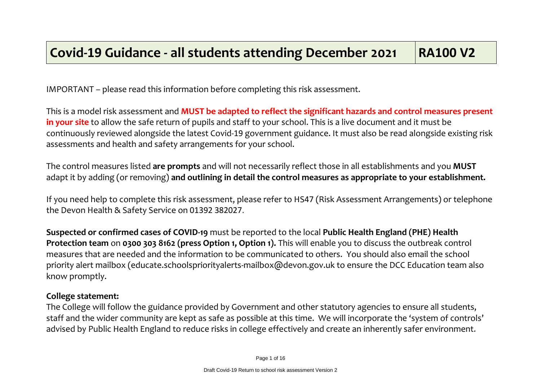IMPORTANT – please read this information before completing this risk assessment.

This is a model risk assessment and **MUST be adapted to reflect the significant hazards and control measures present in your site** to allow the safe return of pupils and staff to your school. This is a live document and it must be continuously reviewed alongside the latest Covid-19 government guidance. It must also be read alongside existing risk assessments and health and safety arrangements for your school.

The control measures listed **are prompts** and will not necessarily reflect those in all establishments and you **MUST** adapt it by adding (or removing) **and outlining in detail the control measures as appropriate to your establishment.**

If you need help to complete this risk assessment, please refer to HS47 (Risk Assessment Arrangements) or telephone the Devon Health & Safety Service on 01392 382027.

**Suspected or confirmed cases of COVID-19** must be reported to the local **Public Health England (PHE) Health Protection team** on **0300 303 8162 (press Option 1, Option 1).** This will enable you to discuss the outbreak control measures that are needed and the information to be communicated to others. You should also email the school priority alert mailbox (educate.schoolspriorityalerts-mailbox@devon.gov.uk to ensure the DCC Education team also know promptly.

## **College statement:**

The College will follow the guidance provided by Government and other statutory agencies to ensure all students, staff and the wider community are kept as safe as possible at this time. We will incorporate the 'system of controls' advised by Public Health England to reduce risks in college effectively and create an inherently safer environment.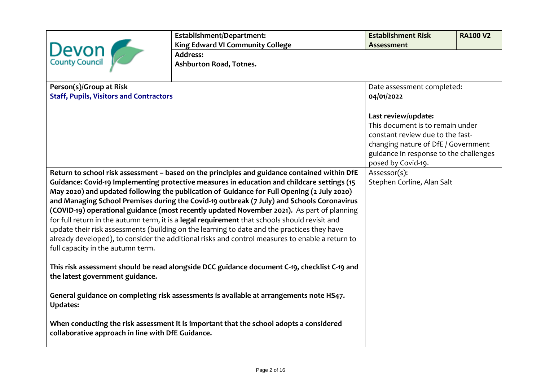|                                                                                                                                              | Establishment/Department:                                                                       | <b>Establishment Risk</b>              | <b>RA100 V2</b> |
|----------------------------------------------------------------------------------------------------------------------------------------------|-------------------------------------------------------------------------------------------------|----------------------------------------|-----------------|
|                                                                                                                                              | <b>King Edward VI Community College</b>                                                         | <b>Assessment</b>                      |                 |
| Devon                                                                                                                                        | <b>Address:</b>                                                                                 |                                        |                 |
|                                                                                                                                              | Ashburton Road, Totnes.                                                                         |                                        |                 |
|                                                                                                                                              |                                                                                                 |                                        |                 |
| Person(s)/Group at Risk                                                                                                                      |                                                                                                 | Date assessment completed:             |                 |
| <b>Staff, Pupils, Visitors and Contractors</b>                                                                                               |                                                                                                 | 04/01/2022                             |                 |
|                                                                                                                                              |                                                                                                 |                                        |                 |
|                                                                                                                                              |                                                                                                 | Last review/update:                    |                 |
|                                                                                                                                              |                                                                                                 | This document is to remain under       |                 |
|                                                                                                                                              |                                                                                                 | constant review due to the fast-       |                 |
|                                                                                                                                              |                                                                                                 | changing nature of DfE / Government    |                 |
|                                                                                                                                              |                                                                                                 | guidance in response to the challenges |                 |
|                                                                                                                                              |                                                                                                 | posed by Covid-19.                     |                 |
|                                                                                                                                              | Return to school risk assessment - based on the principles and guidance contained within DfE    | Assessor(s):                           |                 |
|                                                                                                                                              | Guidance: Covid-19 Implementing protective measures in education and childcare settings (15     | Stephen Corline, Alan Salt             |                 |
|                                                                                                                                              | May 2020) and updated following the publication of Guidance for Full Opening (2 July 2020)      |                                        |                 |
|                                                                                                                                              | and Managing School Premises during the Covid-19 outbreak (7 July) and Schools Coronavirus      |                                        |                 |
|                                                                                                                                              | (COVID-19) operational guidance (most recently updated November 2021). As part of planning      |                                        |                 |
|                                                                                                                                              | for full return in the autumn term, it is a legal requirement that schools should revisit and   |                                        |                 |
|                                                                                                                                              | update their risk assessments (building on the learning to date and the practices they have     |                                        |                 |
|                                                                                                                                              | already developed), to consider the additional risks and control measures to enable a return to |                                        |                 |
| full capacity in the autumn term.                                                                                                            |                                                                                                 |                                        |                 |
| This risk assessment should be read alongside DCC guidance document C-19, checklist C-19 and<br>the latest government guidance.              |                                                                                                 |                                        |                 |
| General guidance on completing risk assessments is available at arrangements note HS47.<br><b>Updates:</b>                                   |                                                                                                 |                                        |                 |
| When conducting the risk assessment it is important that the school adopts a considered<br>collaborative approach in line with DfE Guidance. |                                                                                                 |                                        |                 |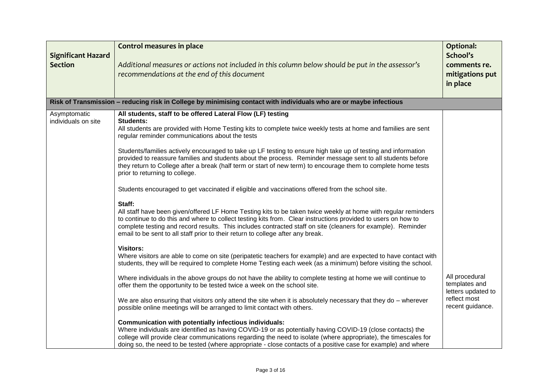| <b>Significant Hazard</b><br><b>Section</b> | <b>Control measures in place</b><br>Additional measures or actions not included in this column below should be put in the assessor's<br>recommendations at the end of this document                                                                                                                                                                                                                                                          | <b>Optional:</b><br>School's<br>comments re.<br>mitigations put<br>in place |
|---------------------------------------------|----------------------------------------------------------------------------------------------------------------------------------------------------------------------------------------------------------------------------------------------------------------------------------------------------------------------------------------------------------------------------------------------------------------------------------------------|-----------------------------------------------------------------------------|
|                                             | Risk of Transmission – reducing risk in College by minimising contact with individuals who are or maybe infectious                                                                                                                                                                                                                                                                                                                           |                                                                             |
| Asymptomatic<br>individuals on site         | All students, staff to be offered Lateral Flow (LF) testing<br>Students:<br>All students are provided with Home Testing kits to complete twice weekly tests at home and families are sent<br>regular reminder communications about the tests                                                                                                                                                                                                 |                                                                             |
|                                             | Students/families actively encouraged to take up LF testing to ensure high take up of testing and information<br>provided to reassure families and students about the process. Reminder message sent to all students before<br>they return to College after a break (half term or start of new term) to encourage them to complete home tests<br>prior to returning to college.                                                              |                                                                             |
|                                             | Students encouraged to get vaccinated if eligible and vaccinations offered from the school site.                                                                                                                                                                                                                                                                                                                                             |                                                                             |
|                                             | Staff:<br>All staff have been given/offered LF Home Testing kits to be taken twice weekly at home with regular reminders<br>to continue to do this and where to collect testing kits from. Clear instructions provided to users on how to<br>complete testing and record results. This includes contracted staff on site (cleaners for example). Reminder<br>email to be sent to all staff prior to their return to college after any break. |                                                                             |
|                                             | <b>Visitors:</b><br>Where visitors are able to come on site (peripatetic teachers for example) and are expected to have contact with<br>students, they will be required to complete Home Testing each week (as a minimum) before visiting the school.                                                                                                                                                                                        |                                                                             |
|                                             | Where individuals in the above groups do not have the ability to complete testing at home we will continue to<br>offer them the opportunity to be tested twice a week on the school site.                                                                                                                                                                                                                                                    | All procedural<br>templates and<br>letters updated to                       |
|                                             | We are also ensuring that visitors only attend the site when it is absolutely necessary that they do – wherever<br>possible online meetings will be arranged to limit contact with others.                                                                                                                                                                                                                                                   | reflect most<br>recent guidance.                                            |
|                                             | Communication with potentially infectious individuals:<br>Where individuals are identified as having COVID-19 or as potentially having COVID-19 (close contacts) the<br>college will provide clear communications regarding the need to isolate (where appropriate), the timescales for<br>doing so, the need to be tested (where appropriate - close contacts of a positive case for example) and where                                     |                                                                             |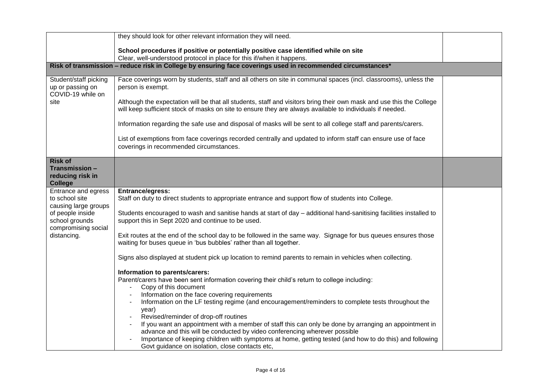|                                                                | they should look for other relevant information they will need.                                                                                                                                                                   |  |
|----------------------------------------------------------------|-----------------------------------------------------------------------------------------------------------------------------------------------------------------------------------------------------------------------------------|--|
|                                                                | School procedures if positive or potentially positive case identified while on site                                                                                                                                               |  |
|                                                                | Clear, well-understood protocol in place for this if/when it happens.                                                                                                                                                             |  |
|                                                                | Risk of transmission - reduce risk in College by ensuring face coverings used in recommended circumstances*                                                                                                                       |  |
| Student/staff picking<br>up or passing on<br>COVID-19 while on | Face coverings worn by students, staff and all others on site in communal spaces (incl. classrooms), unless the<br>person is exempt.                                                                                              |  |
| site                                                           | Although the expectation will be that all students, staff and visitors bring their own mask and use this the College<br>will keep sufficient stock of masks on site to ensure they are always available to individuals if needed. |  |
|                                                                | Information regarding the safe use and disposal of masks will be sent to all college staff and parents/carers.                                                                                                                    |  |
|                                                                | List of exemptions from face coverings recorded centrally and updated to inform staff can ensure use of face<br>coverings in recommended circumstances.                                                                           |  |
| <b>Risk of</b>                                                 |                                                                                                                                                                                                                                   |  |
| Transmission -<br>reducing risk in<br><b>College</b>           |                                                                                                                                                                                                                                   |  |
| Entrance and egress<br>to school site                          | Entrance/egress:<br>Staff on duty to direct students to appropriate entrance and support flow of students into College.                                                                                                           |  |
| causing large groups                                           |                                                                                                                                                                                                                                   |  |
| of people inside<br>school grounds<br>compromising social      | Students encouraged to wash and sanitise hands at start of day – additional hand-sanitising facilities installed to<br>support this in Sept 2020 and continue to be used.                                                         |  |
| distancing.                                                    | Exit routes at the end of the school day to be followed in the same way. Signage for bus queues ensures those<br>waiting for buses queue in 'bus bubbles' rather than all together.                                               |  |
|                                                                | Signs also displayed at student pick up location to remind parents to remain in vehicles when collecting.                                                                                                                         |  |
|                                                                | Information to parents/carers:                                                                                                                                                                                                    |  |
|                                                                | Parent/carers have been sent information covering their child's return to college including:<br>Copy of this document                                                                                                             |  |
|                                                                | Information on the face covering requirements                                                                                                                                                                                     |  |
|                                                                | Information on the LF testing regime (and encouragement/reminders to complete tests throughout the<br>year)                                                                                                                       |  |
|                                                                | Revised/reminder of drop-off routines                                                                                                                                                                                             |  |
|                                                                | If you want an appointment with a member of staff this can only be done by arranging an appointment in<br>advance and this will be conducted by video conferencing wherever possible                                              |  |
|                                                                | Importance of keeping children with symptoms at home, getting tested (and how to do this) and following<br>Govt guidance on isolation, close contacts etc,                                                                        |  |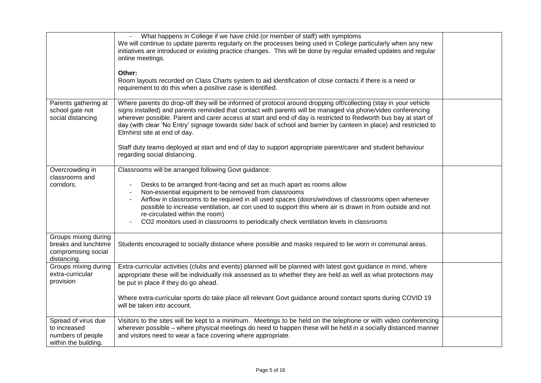|                                                                                    | What happens in College if we have child (or member of staff) with symptoms<br>We will continue to update parents regularly on the processes being used in College particularly when any new<br>initiatives are introduced or existing practice changes. This will be done by regular emailed updates and regular<br>online meetings.<br>Other:<br>Room layouts recorded on Class Charts system to aid identification of close contacts if there is a need or<br>requirement to do this when a positive case is identified.                                                                                                                               |  |
|------------------------------------------------------------------------------------|-----------------------------------------------------------------------------------------------------------------------------------------------------------------------------------------------------------------------------------------------------------------------------------------------------------------------------------------------------------------------------------------------------------------------------------------------------------------------------------------------------------------------------------------------------------------------------------------------------------------------------------------------------------|--|
| Parents gathering at<br>school gate not<br>social distancing                       | Where parents do drop-off they will be informed of protocol around dropping off/collecting (stay in your vehicle<br>signs installed) and parents reminded that contact with parents will be managed via phone/video conferencing<br>wherever possible. Parent and carer access at start and end of day is restricted to Redworth bus bay at start of<br>day (with clear 'No Entry' signage towards side/ back of school and barrier by canteen in place) and restricted to<br>Elmhirst site at end of day.<br>Staff duty teams deployed at start and end of day to support appropriate parent/carer and student behaviour<br>regarding social distancing. |  |
| Overcrowding in<br>classrooms and<br>corridors.                                    | Classrooms will be arranged following Govt guidance:<br>Desks to be arranged front-facing and set as much apart as rooms allow<br>Non-essential equipment to be removed from classrooms<br>Airflow in classrooms to be required in all used spaces (doors/windows of classrooms open whenever<br>possible to increase ventilation, air con used to support this where air is drawn in from outside and not<br>re-circulated within the room)<br>CO2 monitors used in classrooms to periodically check ventilation levels in classrooms                                                                                                                    |  |
| Groups mixing during<br>breaks and lunchtime<br>compromising social<br>distancing. | Students encouraged to socially distance where possible and masks required to be worn in communal areas.                                                                                                                                                                                                                                                                                                                                                                                                                                                                                                                                                  |  |
| Groups mixing during<br>extra-curricular<br>provision                              | Extra-curricular activities (clubs and events) planned will be planned with latest govt guidance in mind, where<br>appropriate these will be individually risk assessed as to whether they are held as well as what protections may<br>be put in place if they do go ahead.<br>Where extra-curricular sports do take place all relevant Govt guidance around contact sports during COVID 19<br>will be taken into account.                                                                                                                                                                                                                                |  |
| Spread of virus due<br>to increased<br>numbers of people<br>within the building.   | Visitors to the sites will be kept to a minimum. Meetings to be held on the telephone or with video conferencing<br>wherever possible – where physical meetings do need to happen these will be held in a socially distanced manner<br>and visitors need to wear a face covering where appropriate.                                                                                                                                                                                                                                                                                                                                                       |  |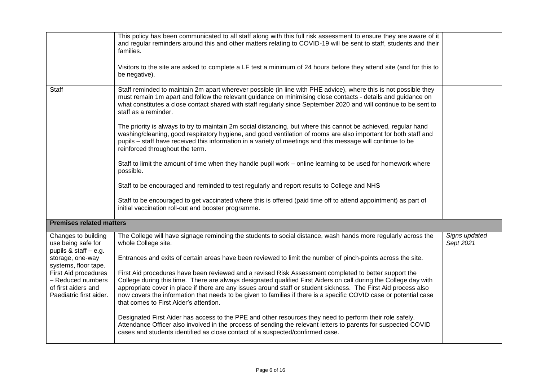|                                                                                             | This policy has been communicated to all staff along with this full risk assessment to ensure they are aware of it<br>and regular reminders around this and other matters relating to COVID-19 will be sent to staff, students and their<br>families.                                                                                                                                                                                                                                                       |                            |
|---------------------------------------------------------------------------------------------|-------------------------------------------------------------------------------------------------------------------------------------------------------------------------------------------------------------------------------------------------------------------------------------------------------------------------------------------------------------------------------------------------------------------------------------------------------------------------------------------------------------|----------------------------|
|                                                                                             | Visitors to the site are asked to complete a LF test a minimum of 24 hours before they attend site (and for this to<br>be negative).                                                                                                                                                                                                                                                                                                                                                                        |                            |
| <b>Staff</b>                                                                                | Staff reminded to maintain 2m apart wherever possible (in line with PHE advice), where this is not possible they<br>must remain 1m apart and follow the relevant guidance on minimising close contacts - details and guidance on<br>what constitutes a close contact shared with staff regularly since September 2020 and will continue to be sent to<br>staff as a reminder.                                                                                                                               |                            |
|                                                                                             | The priority is always to try to maintain 2m social distancing, but where this cannot be achieved, regular hand<br>washing/cleaning, good respiratory hygiene, and good ventilation of rooms are also important for both staff and<br>pupils - staff have received this information in a variety of meetings and this message will continue to be<br>reinforced throughout the term.                                                                                                                        |                            |
|                                                                                             | Staff to limit the amount of time when they handle pupil work – online learning to be used for homework where<br>possible.                                                                                                                                                                                                                                                                                                                                                                                  |                            |
|                                                                                             | Staff to be encouraged and reminded to test regularly and report results to College and NHS                                                                                                                                                                                                                                                                                                                                                                                                                 |                            |
|                                                                                             | Staff to be encouraged to get vaccinated where this is offered (paid time off to attend appointment) as part of<br>initial vaccination roll-out and booster programme.                                                                                                                                                                                                                                                                                                                                      |                            |
| <b>Premises related matters</b>                                                             |                                                                                                                                                                                                                                                                                                                                                                                                                                                                                                             |                            |
| Changes to building<br>use being safe for<br>pupils & staff - e.g.                          | The College will have signage reminding the students to social distance, wash hands more regularly across the<br>whole College site.                                                                                                                                                                                                                                                                                                                                                                        | Signs updated<br>Sept 2021 |
| storage, one-way<br>systems, floor tape.                                                    | Entrances and exits of certain areas have been reviewed to limit the number of pinch-points across the site.                                                                                                                                                                                                                                                                                                                                                                                                |                            |
| First Aid procedures<br>- Reduced numbers<br>of first aiders and<br>Paediatric first aider. | First Aid procedures have been reviewed and a revised Risk Assessment completed to better support the<br>College during this time. There are always designated qualified First Aiders on call during the College day with<br>appropriate cover in place if there are any issues around staff or student sickness. The First Aid process also<br>now covers the information that needs to be given to families if there is a specific COVID case or potential case<br>that comes to First Aider's attention. |                            |
|                                                                                             | Designated First Aider has access to the PPE and other resources they need to perform their role safely.<br>Attendance Officer also involved in the process of sending the relevant letters to parents for suspected COVID<br>cases and students identified as close contact of a suspected/confirmed case.                                                                                                                                                                                                 |                            |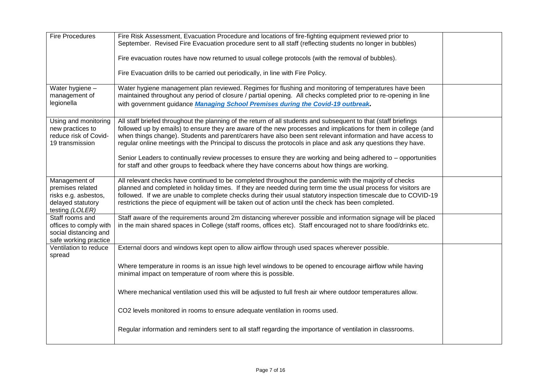| <b>Fire Procedures</b>                         | Fire Risk Assessment, Evacuation Procedure and locations of fire-fighting equipment reviewed prior to<br>September. Revised Fire Evacuation procedure sent to all staff (reflecting students no longer in bubbles)                |  |
|------------------------------------------------|-----------------------------------------------------------------------------------------------------------------------------------------------------------------------------------------------------------------------------------|--|
|                                                |                                                                                                                                                                                                                                   |  |
|                                                | Fire evacuation routes have now returned to usual college protocols (with the removal of bubbles).                                                                                                                                |  |
|                                                | Fire Evacuation drills to be carried out periodically, in line with Fire Policy.                                                                                                                                                  |  |
| Water hygiene -<br>management of               | Water hygiene management plan reviewed. Regimes for flushing and monitoring of temperatures have been<br>maintained throughout any period of closure / partial opening. All checks completed prior to re-opening in line          |  |
| legionella                                     | with government guidance Managing School Premises during the Covid-19 outbreak.                                                                                                                                                   |  |
|                                                |                                                                                                                                                                                                                                   |  |
| Using and monitoring<br>new practices to       | All staff briefed throughout the planning of the return of all students and subsequent to that (staff briefings<br>followed up by emails) to ensure they are aware of the new processes and implications for them in college (and |  |
| reduce risk of Covid-                          | when things change). Students and parent/carers have also been sent relevant information and have access to                                                                                                                       |  |
| 19 transmission                                | regular online meetings with the Principal to discuss the protocols in place and ask any questions they have.                                                                                                                     |  |
|                                                | Senior Leaders to continually review processes to ensure they are working and being adhered to - opportunities                                                                                                                    |  |
|                                                | for staff and other groups to feedback where they have concerns about how things are working.                                                                                                                                     |  |
| Management of                                  | All relevant checks have continued to be completed throughout the pandemic with the majority of checks                                                                                                                            |  |
| premises related<br>risks e.g. asbestos,       | planned and completed in holiday times. If they are needed during term time the usual process for visitors are<br>followed. If we are unable to complete checks during their usual statutory inspection timescale due to COVID-19 |  |
| delayed statutory                              | restrictions the piece of equipment will be taken out of action until the check has been completed.                                                                                                                               |  |
| testing (LOLER)<br>Staff rooms and             | Staff aware of the requirements around 2m distancing wherever possible and information signage will be placed                                                                                                                     |  |
| offices to comply with                         | in the main shared spaces in College (staff rooms, offices etc). Staff encouraged not to share food/drinks etc.                                                                                                                   |  |
| social distancing and<br>safe working practice |                                                                                                                                                                                                                                   |  |
| Ventilation to reduce                          | External doors and windows kept open to allow airflow through used spaces wherever possible.                                                                                                                                      |  |
| spread                                         |                                                                                                                                                                                                                                   |  |
|                                                | Where temperature in rooms is an issue high level windows to be opened to encourage airflow while having<br>minimal impact on temperature of room where this is possible.                                                         |  |
|                                                |                                                                                                                                                                                                                                   |  |
|                                                | Where mechanical ventilation used this will be adjusted to full fresh air where outdoor temperatures allow.                                                                                                                       |  |
|                                                | CO2 levels monitored in rooms to ensure adequate ventilation in rooms used.                                                                                                                                                       |  |
|                                                |                                                                                                                                                                                                                                   |  |
|                                                | Regular information and reminders sent to all staff regarding the importance of ventilation in classrooms.                                                                                                                        |  |
|                                                |                                                                                                                                                                                                                                   |  |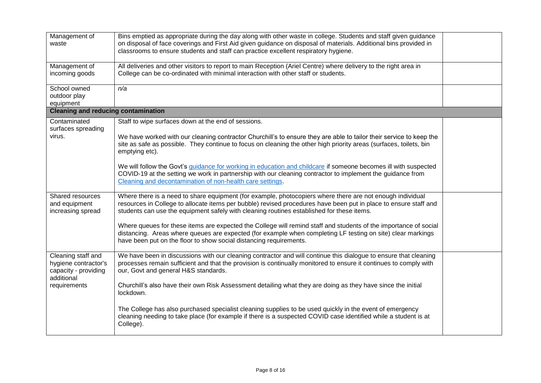| Management of<br>waste                                                           | Bins emptied as appropriate during the day along with other waste in college. Students and staff given guidance<br>on disposal of face coverings and First Aid given guidance on disposal of materials. Additional bins provided in<br>classrooms to ensure students and staff can practice excellent respiratory hygiene. |  |
|----------------------------------------------------------------------------------|----------------------------------------------------------------------------------------------------------------------------------------------------------------------------------------------------------------------------------------------------------------------------------------------------------------------------|--|
| Management of<br>incoming goods                                                  | All deliveries and other visitors to report to main Reception (Ariel Centre) where delivery to the right area in<br>College can be co-ordinated with minimal interaction with other staff or students.                                                                                                                     |  |
| School owned<br>outdoor play<br>equipment                                        | n/a                                                                                                                                                                                                                                                                                                                        |  |
| <b>Cleaning and reducing contamination</b>                                       |                                                                                                                                                                                                                                                                                                                            |  |
| Contaminated<br>surfaces spreading                                               | Staff to wipe surfaces down at the end of sessions.                                                                                                                                                                                                                                                                        |  |
| virus.                                                                           | We have worked with our cleaning contractor Churchill's to ensure they are able to tailor their service to keep the<br>site as safe as possible. They continue to focus on cleaning the other high priority areas (surfaces, toilets, bin<br>emptying etc).                                                                |  |
|                                                                                  | We will follow the Govt's guidance for working in education and childcare if someone becomes ill with suspected<br>COVID-19 at the setting we work in partnership with our cleaning contractor to implement the guidance from<br>Cleaning and decontamination of non-health care settings.                                 |  |
| Shared resources<br>and equipment<br>increasing spread                           | Where there is a need to share equipment (for example, photocopiers where there are not enough individual<br>resources in College to allocate items per bubble) revised procedures have been put in place to ensure staff and<br>students can use the equipment safely with cleaning routines established for these items. |  |
|                                                                                  | Where queues for these items are expected the College will remind staff and students of the importance of social<br>distancing. Areas where queues are expected (for example when completing LF testing on site) clear markings<br>have been put on the floor to show social distancing requirements.                      |  |
| Cleaning staff and<br>hygiene contractor's<br>capacity - providing<br>additional | We have been in discussions with our cleaning contractor and will continue this dialogue to ensure that cleaning<br>processes remain sufficient and that the provision is continually monitored to ensure it continues to comply with<br>our, Govt and general H&S standards.                                              |  |
| requirements                                                                     | Churchill's also have their own Risk Assessment detailing what they are doing as they have since the initial<br>lockdown.                                                                                                                                                                                                  |  |
|                                                                                  | The College has also purchased specialist cleaning supplies to be used quickly in the event of emergency<br>cleaning needing to take place (for example if there is a suspected COVID case identified while a student is at<br>College).                                                                                   |  |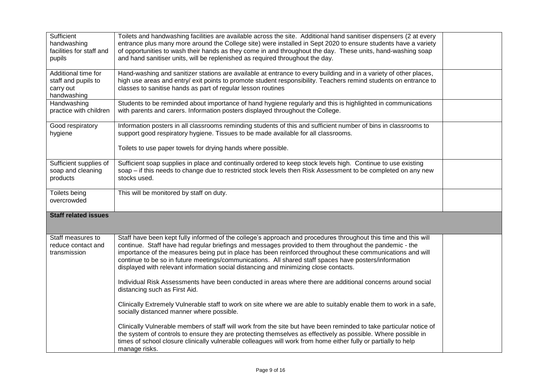| Sufficient<br>handwashing<br>facilities for staff and<br>pupils        | Toilets and handwashing facilities are available across the site. Additional hand sanitiser dispensers (2 at every<br>entrance plus many more around the College site) were installed in Sept 2020 to ensure students have a variety<br>of opportunities to wash their hands as they come in and throughout the day. These units, hand-washing soap<br>and hand sanitiser units, will be replenished as required throughout the day.                                                                                                                                                                                                                                                    |  |
|------------------------------------------------------------------------|-----------------------------------------------------------------------------------------------------------------------------------------------------------------------------------------------------------------------------------------------------------------------------------------------------------------------------------------------------------------------------------------------------------------------------------------------------------------------------------------------------------------------------------------------------------------------------------------------------------------------------------------------------------------------------------------|--|
| Additional time for<br>staff and pupils to<br>carry out<br>handwashing | Hand-washing and sanitizer stations are available at entrance to every building and in a variety of other places,<br>high use areas and entry/ exit points to promote student responsibility. Teachers remind students on entrance to<br>classes to sanitise hands as part of regular lesson routines                                                                                                                                                                                                                                                                                                                                                                                   |  |
| Handwashing<br>practice with children                                  | Students to be reminded about importance of hand hygiene regularly and this is highlighted in communications<br>with parents and carers. Information posters displayed throughout the College.                                                                                                                                                                                                                                                                                                                                                                                                                                                                                          |  |
| Good respiratory<br>hygiene                                            | Information posters in all classrooms reminding students of this and sufficient number of bins in classrooms to<br>support good respiratory hygiene. Tissues to be made available for all classrooms.                                                                                                                                                                                                                                                                                                                                                                                                                                                                                   |  |
|                                                                        | Toilets to use paper towels for drying hands where possible.                                                                                                                                                                                                                                                                                                                                                                                                                                                                                                                                                                                                                            |  |
| Sufficient supplies of<br>soap and cleaning<br>products                | Sufficient soap supplies in place and continually ordered to keep stock levels high. Continue to use existing<br>soap – if this needs to change due to restricted stock levels then Risk Assessment to be completed on any new<br>stocks used.                                                                                                                                                                                                                                                                                                                                                                                                                                          |  |
| Toilets being<br>overcrowded                                           | This will be monitored by staff on duty.                                                                                                                                                                                                                                                                                                                                                                                                                                                                                                                                                                                                                                                |  |
| <b>Staff related issues</b>                                            |                                                                                                                                                                                                                                                                                                                                                                                                                                                                                                                                                                                                                                                                                         |  |
| Staff measures to<br>reduce contact and<br>transmission                | Staff have been kept fully informed of the college's approach and procedures throughout this time and this will<br>continue. Staff have had regular briefings and messages provided to them throughout the pandemic - the<br>importance of the measures being put in place has been reinforced throughout these communications and will<br>continue to be so in future meetings/communications. All shared staff spaces have posters/information<br>displayed with relevant information social distancing and minimizing close contacts.<br>Individual Risk Assessments have been conducted in areas where there are additional concerns around social<br>distancing such as First Aid. |  |
|                                                                        | Clinically Extremely Vulnerable staff to work on site where we are able to suitably enable them to work in a safe,<br>socially distanced manner where possible.                                                                                                                                                                                                                                                                                                                                                                                                                                                                                                                         |  |
|                                                                        | Clinically Vulnerable members of staff will work from the site but have been reminded to take particular notice of<br>the system of controls to ensure they are protecting themselves as effectively as possible. Where possible in<br>times of school closure clinically vulnerable colleagues will work from home either fully or partially to help<br>manage risks.                                                                                                                                                                                                                                                                                                                  |  |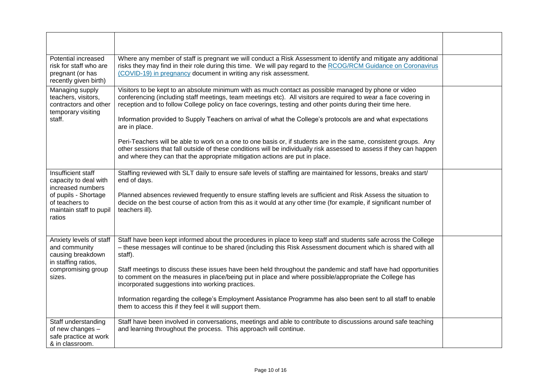| Potential increased<br>risk for staff who are<br>pregnant (or has<br>recently given birth)                                                      | Where any member of staff is pregnant we will conduct a Risk Assessment to identify and mitigate any additional<br>risks they may find in their role during this time. We will pay regard to the RCOG/RCM Guidance on Coronavirus<br>(COVID-19) in pregnancy document in writing any risk assessment.                                                                                                                                                                                                                                                                                                                                                                                                                |  |
|-------------------------------------------------------------------------------------------------------------------------------------------------|----------------------------------------------------------------------------------------------------------------------------------------------------------------------------------------------------------------------------------------------------------------------------------------------------------------------------------------------------------------------------------------------------------------------------------------------------------------------------------------------------------------------------------------------------------------------------------------------------------------------------------------------------------------------------------------------------------------------|--|
| Managing supply<br>teachers, visitors,<br>contractors and other<br>temporary visiting<br>staff.                                                 | Visitors to be kept to an absolute minimum with as much contact as possible managed by phone or video<br>conferencing (including staff meetings, team meetings etc). All visitors are required to wear a face covering in<br>reception and to follow College policy on face coverings, testing and other points during their time here.<br>Information provided to Supply Teachers on arrival of what the College's protocols are and what expectations<br>are in place.<br>Peri-Teachers will be able to work on a one to one basis or, if students are in the same, consistent groups. Any<br>other sessions that fall outside of these conditions will be individually risk assessed to assess if they can happen |  |
|                                                                                                                                                 | and where they can that the appropriate mitigation actions are put in place.                                                                                                                                                                                                                                                                                                                                                                                                                                                                                                                                                                                                                                         |  |
| Insufficient staff<br>capacity to deal with<br>increased numbers<br>of pupils - Shortage<br>of teachers to<br>maintain staff to pupil<br>ratios | Staffing reviewed with SLT daily to ensure safe levels of staffing are maintained for lessons, breaks and start/<br>end of days.<br>Planned absences reviewed frequently to ensure staffing levels are sufficient and Risk Assess the situation to<br>decide on the best course of action from this as it would at any other time (for example, if significant number of<br>teachers ill).                                                                                                                                                                                                                                                                                                                           |  |
| Anxiety levels of staff<br>and community<br>causing breakdown<br>in staffing ratios,                                                            | Staff have been kept informed about the procedures in place to keep staff and students safe across the College<br>- these messages will continue to be shared (including this Risk Assessment document which is shared with all<br>staff).                                                                                                                                                                                                                                                                                                                                                                                                                                                                           |  |
| compromising group<br>sizes.                                                                                                                    | Staff meetings to discuss these issues have been held throughout the pandemic and staff have had opportunities<br>to comment on the measures in place/being put in place and where possible/appropriate the College has<br>incorporated suggestions into working practices.                                                                                                                                                                                                                                                                                                                                                                                                                                          |  |
|                                                                                                                                                 | Information regarding the college's Employment Assistance Programme has also been sent to all staff to enable<br>them to access this if they feel it will support them.                                                                                                                                                                                                                                                                                                                                                                                                                                                                                                                                              |  |
| Staff understanding<br>of new changes -<br>safe practice at work<br>& in classroom.                                                             | Staff have been involved in conversations, meetings and able to contribute to discussions around safe teaching<br>and learning throughout the process. This approach will continue.                                                                                                                                                                                                                                                                                                                                                                                                                                                                                                                                  |  |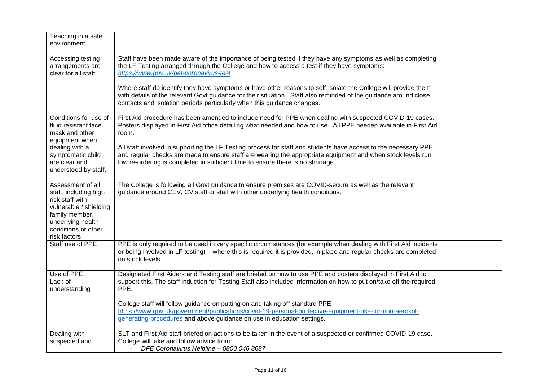| Teaching in a safe<br>environment                                                                                                                                     |                                                                                                                                                                                                                                                                                                                   |  |
|-----------------------------------------------------------------------------------------------------------------------------------------------------------------------|-------------------------------------------------------------------------------------------------------------------------------------------------------------------------------------------------------------------------------------------------------------------------------------------------------------------|--|
| Accessing testing<br>arrangements are<br>clear for all staff                                                                                                          | Staff have been made aware of the importance of being tested if they have any symptoms as well as completing<br>the LF Testing arranged through the College and how to access a test if they have symptoms:<br>https://www.gov.uk/get-coronavirus-test                                                            |  |
|                                                                                                                                                                       | Where staff do identify they have symptoms or have other reasons to self-isolate the College will provide them<br>with details of the relevant Govt guidance for their situation. Staff also reminded of the guidance around close<br>contacts and isolation periods particularly when this guidance changes.     |  |
| Conditions for use of<br>fluid resistant face<br>mask and other<br>equipment when                                                                                     | First Aid procedure has been amended to include need for PPE when dealing with suspected COVID-19 cases.<br>Posters displayed in First Aid office detailing what needed and how to use. All PPE needed available in First Aid<br>room.                                                                            |  |
| dealing with a<br>symptomatic child<br>are clear and<br>understood by staff.                                                                                          | All staff involved in supporting the LF Testing process for staff and students have access to the necessary PPE<br>and regular checks are made to ensure staff are wearing the appropriate equipment and when stock levels run<br>low re-ordering is completed in sufficient time to ensure there is no shortage. |  |
| Assessment of all<br>staff, including high<br>risk staff with<br>vulnerable / shielding<br>family member,<br>underlying health<br>conditions or other<br>risk factors | The College is following all Govt guidance to ensure premises are COVID-secure as well as the relevant<br>guidance around CEV, CV staff or staff with other underlying health conditions.                                                                                                                         |  |
| Staff use of PPE                                                                                                                                                      | PPE is only required to be used in very specific circumstances (for example when dealing with First Aid incidents<br>or being involved in LF testing) – where this is required it is provided, in place and regular checks are completed<br>on stock levels.                                                      |  |
| Use of PPE<br>Lack of<br>understanding                                                                                                                                | Designated First Aiders and Testing staff are briefed on how to use PPE and posters displayed in First Aid to<br>support this. The staff induction for Testing Staff also included information on how to put on/take off the required<br>PPE.                                                                     |  |
|                                                                                                                                                                       | College staff will follow guidance on putting on and taking off standard PPE<br>https://www.gov.uk/government/publications/covid-19-personal-protective-equipment-use-for-non-aerosol-<br>generating-procedures and above guidance on use in education settings.                                                  |  |
| Dealing with<br>suspected and                                                                                                                                         | SLT and First Aid staff briefed on actions to be taken in the event of a suspected or confirmed COVID-19 case.<br>College will take and follow advice from:<br>DFE Coronavirus Helpline - 0800 046 8687                                                                                                           |  |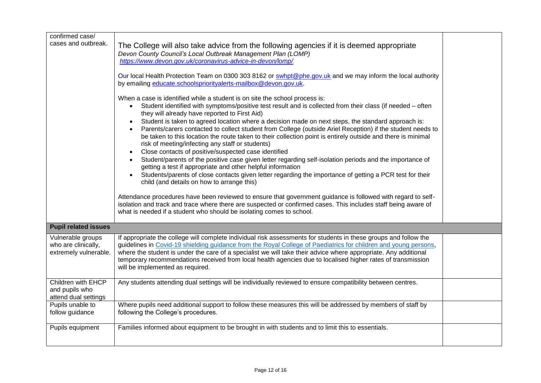| confirmed case/<br>cases and outbreak.                            | The College will also take advice from the following agencies if it is deemed appropriate<br>Devon County Council's Local Outbreak Management Plan (LOMP)<br>https://www.devon.gov.uk/coronavirus-advice-in-devon/lomp/.<br>Our local Health Protection Team on 0300 303 8162 or swhpt@phe.gov.uk and we may inform the local authority<br>by emailing educate.schoolspriorityalerts-mailbox@devon.gov.uk.<br>When a case is identified while a student is on site the school process is:<br>Student identified with symptoms/positive test result and is collected from their class (if needed – often<br>$\bullet$<br>they will already have reported to First Aid)<br>Student is taken to agreed location where a decision made on next steps, the standard approach is:<br>Parents/carers contacted to collect student from College (outside Ariel Reception) if the student needs to<br>be taken to this location the route taken to their collection point is entirely outside and there is minimal<br>risk of meeting/infecting any staff or students)<br>Close contacts of positive/suspected case identified<br>$\bullet$<br>Student/parents of the positive case given letter regarding self-isolation periods and the importance of<br>getting a test if appropriate and other helpful information<br>Students/parents of close contacts given letter regarding the importance of getting a PCR test for their<br>child (and details on how to arrange this)<br>Attendance procedures have been reviewed to ensure that government guidance is followed with regard to self-<br>isolation and track and trace where there are suspected or confirmed cases. This includes staff being aware of<br>what is needed if a student who should be isolating comes to school. |  |
|-------------------------------------------------------------------|-----------------------------------------------------------------------------------------------------------------------------------------------------------------------------------------------------------------------------------------------------------------------------------------------------------------------------------------------------------------------------------------------------------------------------------------------------------------------------------------------------------------------------------------------------------------------------------------------------------------------------------------------------------------------------------------------------------------------------------------------------------------------------------------------------------------------------------------------------------------------------------------------------------------------------------------------------------------------------------------------------------------------------------------------------------------------------------------------------------------------------------------------------------------------------------------------------------------------------------------------------------------------------------------------------------------------------------------------------------------------------------------------------------------------------------------------------------------------------------------------------------------------------------------------------------------------------------------------------------------------------------------------------------------------------------------------------------------------------------------------------------------------------------|--|
| <b>Pupil related issues</b>                                       |                                                                                                                                                                                                                                                                                                                                                                                                                                                                                                                                                                                                                                                                                                                                                                                                                                                                                                                                                                                                                                                                                                                                                                                                                                                                                                                                                                                                                                                                                                                                                                                                                                                                                                                                                                                   |  |
| Vulnerable groups<br>who are clinically,<br>extremely vulnerable. | If appropriate the college will complete individual risk assessments for students in these groups and follow the<br>guidelines in Covid-19 shielding guidance from the Royal College of Paediatrics for children and young persons,<br>where the student is under the care of a specialist we will take their advice where appropriate. Any additional<br>temporary recommendations received from local health agencies due to localised higher rates of transmission<br>will be implemented as required.                                                                                                                                                                                                                                                                                                                                                                                                                                                                                                                                                                                                                                                                                                                                                                                                                                                                                                                                                                                                                                                                                                                                                                                                                                                                         |  |
| Children with EHCP<br>and pupils who<br>attend dual settings      | Any students attending dual settings will be individually reviewed to ensure compatibility between centres.                                                                                                                                                                                                                                                                                                                                                                                                                                                                                                                                                                                                                                                                                                                                                                                                                                                                                                                                                                                                                                                                                                                                                                                                                                                                                                                                                                                                                                                                                                                                                                                                                                                                       |  |
| Pupils unable to<br>follow guidance                               | Where pupils need additional support to follow these measures this will be addressed by members of staff by<br>following the College's procedures.                                                                                                                                                                                                                                                                                                                                                                                                                                                                                                                                                                                                                                                                                                                                                                                                                                                                                                                                                                                                                                                                                                                                                                                                                                                                                                                                                                                                                                                                                                                                                                                                                                |  |
| Pupils equipment                                                  | Families informed about equipment to be brought in with students and to limit this to essentials.                                                                                                                                                                                                                                                                                                                                                                                                                                                                                                                                                                                                                                                                                                                                                                                                                                                                                                                                                                                                                                                                                                                                                                                                                                                                                                                                                                                                                                                                                                                                                                                                                                                                                 |  |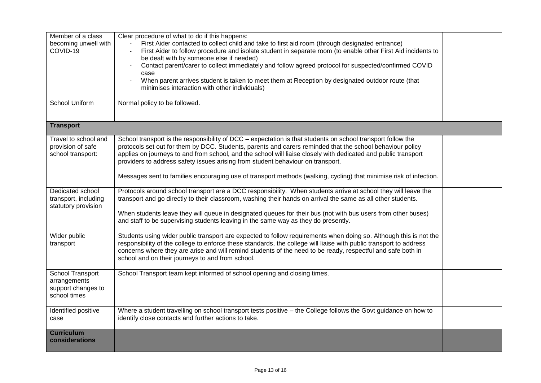| Member of a class<br>becoming unwell with<br>COVID-19                  | Clear procedure of what to do if this happens:<br>First Aider contacted to collect child and take to first aid room (through designated entrance)<br>First Aider to follow procedure and isolate student in separate room (to enable other First Aid incidents to<br>be dealt with by someone else if needed)<br>Contact parent/carer to collect immediately and follow agreed protocol for suspected/confirmed COVID<br>case<br>When parent arrives student is taken to meet them at Reception by designated outdoor route (that<br>minimises interaction with other individuals) |  |
|------------------------------------------------------------------------|------------------------------------------------------------------------------------------------------------------------------------------------------------------------------------------------------------------------------------------------------------------------------------------------------------------------------------------------------------------------------------------------------------------------------------------------------------------------------------------------------------------------------------------------------------------------------------|--|
| <b>School Uniform</b>                                                  | Normal policy to be followed.                                                                                                                                                                                                                                                                                                                                                                                                                                                                                                                                                      |  |
| <b>Transport</b>                                                       |                                                                                                                                                                                                                                                                                                                                                                                                                                                                                                                                                                                    |  |
| Travel to school and<br>provision of safe<br>school transport:         | School transport is the responsibility of DCC – expectation is that students on school transport follow the<br>protocols set out for them by DCC. Students, parents and carers reminded that the school behaviour policy<br>applies on journeys to and from school, and the school will liaise closely with dedicated and public transport<br>providers to address safety issues arising from student behaviour on transport.<br>Messages sent to families encouraging use of transport methods (walking, cycling) that minimise risk of infection.                                |  |
| Dedicated school<br>transport, including<br>statutory provision        | Protocols around school transport are a DCC responsibility. When students arrive at school they will leave the<br>transport and go directly to their classroom, washing their hands on arrival the same as all other students.<br>When students leave they will queue in designated queues for their bus (not with bus users from other buses)<br>and staff to be supervising students leaving in the same way as they do presently.                                                                                                                                               |  |
| Wider public<br>transport                                              | Students using wider public transport are expected to follow requirements when doing so. Although this is not the<br>responsibility of the college to enforce these standards, the college will liaise with public transport to address<br>concerns where they are arise and will remind students of the need to be ready, respectful and safe both in<br>school and on their journeys to and from school.                                                                                                                                                                         |  |
| School Transport<br>arrangements<br>support changes to<br>school times | School Transport team kept informed of school opening and closing times.                                                                                                                                                                                                                                                                                                                                                                                                                                                                                                           |  |
| Identified positive<br>case                                            | Where a student travelling on school transport tests positive - the College follows the Govt guidance on how to<br>identify close contacts and further actions to take.                                                                                                                                                                                                                                                                                                                                                                                                            |  |
| <b>Curriculum</b><br>considerations                                    |                                                                                                                                                                                                                                                                                                                                                                                                                                                                                                                                                                                    |  |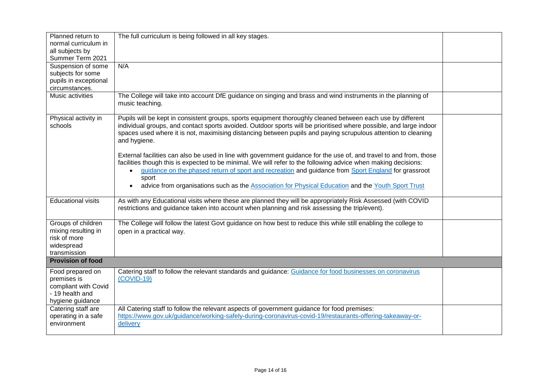| Planned return to<br>normal curriculum in<br>all subjects by<br>Summer Term 2021               | The full curriculum is being followed in all key stages.                                                                                                                                                                                                                                                                                                                                                                                                    |  |  |  |
|------------------------------------------------------------------------------------------------|-------------------------------------------------------------------------------------------------------------------------------------------------------------------------------------------------------------------------------------------------------------------------------------------------------------------------------------------------------------------------------------------------------------------------------------------------------------|--|--|--|
| Suspension of some<br>subjects for some<br>pupils in exceptional<br>circumstances.             | N/A                                                                                                                                                                                                                                                                                                                                                                                                                                                         |  |  |  |
| Music activities                                                                               | The College will take into account DfE guidance on singing and brass and wind instruments in the planning of<br>music teaching.                                                                                                                                                                                                                                                                                                                             |  |  |  |
| Physical activity in<br>schools                                                                | Pupils will be kept in consistent groups, sports equipment thoroughly cleaned between each use by different<br>individual groups, and contact sports avoided. Outdoor sports will be prioritised where possible, and large indoor<br>spaces used where it is not, maximising distancing between pupils and paying scrupulous attention to cleaning<br>and hygiene.                                                                                          |  |  |  |
|                                                                                                | External facilities can also be used in line with government guidance for the use of, and travel to and from, those<br>facilities though this is expected to be minimal. We will refer to the following advice when making decisions:<br>guidance on the phased return of sport and recreation and guidance from Sport England for grassroot<br>sport<br>advice from organisations such as the Association for Physical Education and the Youth Sport Trust |  |  |  |
| <b>Educational visits</b>                                                                      | As with any Educational visits where these are planned they will be appropriately Risk Assessed (with COVID<br>restrictions and guidance taken into account when planning and risk assessing the trip/event).                                                                                                                                                                                                                                               |  |  |  |
| Groups of children<br>mixing resulting in<br>risk of more<br>widespread<br>transmission        | The College will follow the latest Govt guidance on how best to reduce this while still enabling the college to<br>open in a practical way.                                                                                                                                                                                                                                                                                                                 |  |  |  |
| <b>Provision of food</b>                                                                       |                                                                                                                                                                                                                                                                                                                                                                                                                                                             |  |  |  |
| Food prepared on<br>premises is<br>compliant with Covid<br>- 19 health and<br>hygiene guidance | Catering staff to follow the relevant standards and guidance: Guidance for food businesses on coronavirus<br>$(COVID-19)$                                                                                                                                                                                                                                                                                                                                   |  |  |  |
| Catering staff are<br>operating in a safe<br>environment                                       | All Catering staff to follow the relevant aspects of government guidance for food premises:<br>https://www.gov.uk/guidance/working-safely-during-coronavirus-covid-19/restaurants-offering-takeaway-or-<br>delivery                                                                                                                                                                                                                                         |  |  |  |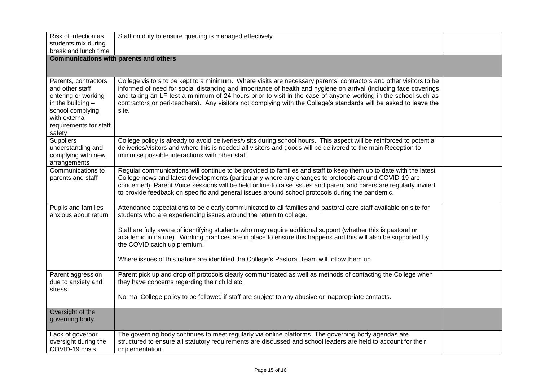| Risk of infection as<br>students mix during<br>break and lunch time                                                                                            | Staff on duty to ensure queuing is managed effectively.                                                                                                                                                                                                                                                                                                                                                                                                                                                                                                |  |  |  |
|----------------------------------------------------------------------------------------------------------------------------------------------------------------|--------------------------------------------------------------------------------------------------------------------------------------------------------------------------------------------------------------------------------------------------------------------------------------------------------------------------------------------------------------------------------------------------------------------------------------------------------------------------------------------------------------------------------------------------------|--|--|--|
| <b>Communications with parents and others</b>                                                                                                                  |                                                                                                                                                                                                                                                                                                                                                                                                                                                                                                                                                        |  |  |  |
| Parents, contractors<br>and other staff<br>entering or working<br>in the building $-$<br>school complying<br>with external<br>requirements for staff<br>safety | College visitors to be kept to a minimum. Where visits are necessary parents, contractors and other visitors to be<br>informed of need for social distancing and importance of health and hygiene on arrival (including face coverings<br>and taking an LF test a minimum of 24 hours prior to visit in the case of anyone working in the school such as<br>contractors or peri-teachers). Any visitors not complying with the College's standards will be asked to leave the<br>site.                                                                 |  |  |  |
| <b>Suppliers</b><br>understanding and<br>complying with new<br>arrangements                                                                                    | College policy is already to avoid deliveries/visits during school hours. This aspect will be reinforced to potential<br>deliveries/visitors and where this is needed all visitors and goods will be delivered to the main Reception to<br>minimise possible interactions with other staff.                                                                                                                                                                                                                                                            |  |  |  |
| Communications to<br>parents and staff                                                                                                                         | Regular communications will continue to be provided to families and staff to keep them up to date with the latest<br>College news and latest developments (particularly where any changes to protocols around COVID-19 are<br>concerned). Parent Voice sessions will be held online to raise issues and parent and carers are regularly invited<br>to provide feedback on specific and general issues around school protocols during the pandemic.                                                                                                     |  |  |  |
| Pupils and families<br>anxious about return                                                                                                                    | Attendance expectations to be clearly communicated to all families and pastoral care staff available on site for<br>students who are experiencing issues around the return to college.<br>Staff are fully aware of identifying students who may require additional support (whether this is pastoral or<br>academic in nature). Working practices are in place to ensure this happens and this will also be supported by<br>the COVID catch up premium.<br>Where issues of this nature are identified the College's Pastoral Team will follow them up. |  |  |  |
| Parent aggression<br>due to anxiety and<br>stress.                                                                                                             | Parent pick up and drop off protocols clearly communicated as well as methods of contacting the College when<br>they have concerns regarding their child etc.<br>Normal College policy to be followed if staff are subject to any abusive or inappropriate contacts.                                                                                                                                                                                                                                                                                   |  |  |  |
| Oversight of the<br>governing body                                                                                                                             |                                                                                                                                                                                                                                                                                                                                                                                                                                                                                                                                                        |  |  |  |
| Lack of governor<br>oversight during the<br>COVID-19 crisis                                                                                                    | The governing body continues to meet regularly via online platforms. The governing body agendas are<br>structured to ensure all statutory requirements are discussed and school leaders are held to account for their<br>implementation.                                                                                                                                                                                                                                                                                                               |  |  |  |